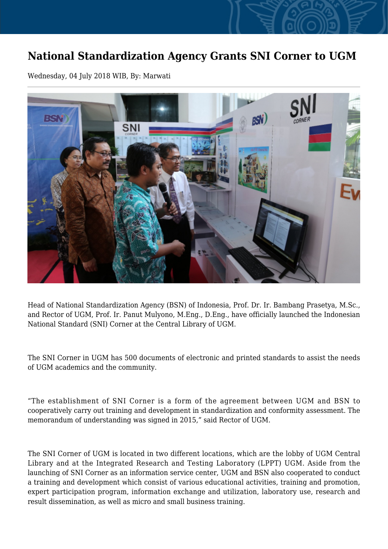## **National Standardization Agency Grants SNI Corner to UGM**

Wednesday, 04 July 2018 WIB, By: Marwati



Head of National Standardization Agency (BSN) of Indonesia, Prof. Dr. Ir. Bambang Prasetya, M.Sc., and Rector of UGM, Prof. Ir. Panut Mulyono, M.Eng., D.Eng., have officially launched the Indonesian National Standard (SNI) Corner at the Central Library of UGM.

The SNI Corner in UGM has 500 documents of electronic and printed standards to assist the needs of UGM academics and the community.

"The establishment of SNI Corner is a form of the agreement between UGM and BSN to cooperatively carry out training and development in standardization and conformity assessment. The memorandum of understanding was signed in 2015," said Rector of UGM.

The SNI Corner of UGM is located in two different locations, which are the lobby of UGM Central Library and at the Integrated Research and Testing Laboratory (LPPT) UGM. Aside from the launching of SNI Corner as an information service center, UGM and BSN also cooperated to conduct a training and development which consist of various educational activities, training and promotion, expert participation program, information exchange and utilization, laboratory use, research and result dissemination, as well as micro and small business training.